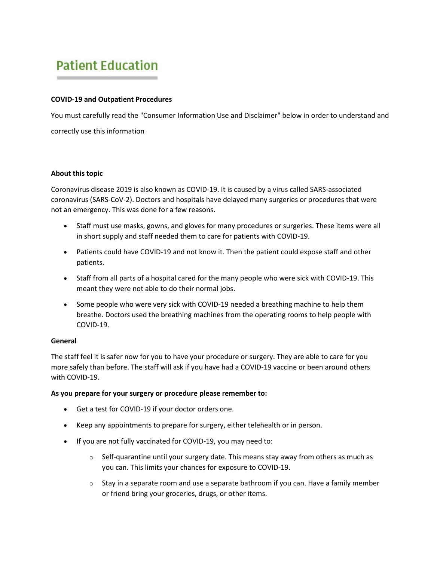# **Patient Education**

#### **COVID-19 and Outpatient Procedures**

You must carefully read the "Consumer Information Use and Disclaimer" below in order to understand and correctly use this information

#### **About this topic**

Coronavirus disease 2019 is also known as COVID-19. It is caused by a virus called SARS-associated coronavirus (SARS-CoV-2). Doctors and hospitals have delayed many surgeries or procedures that were not an emergency. This was done for a few reasons.

- Staff must use masks, gowns, and gloves for many procedures or surgeries. These items were all in short supply and staff needed them to care for patients with COVID-19.
- Patients could have COVID-19 and not know it. Then the patient could expose staff and other patients.
- Staff from all parts of a hospital cared for the many people who were sick with COVID-19. This meant they were not able to do their normal jobs.
- Some people who were very sick with COVID-19 needed a breathing machine to help them breathe. Doctors used the breathing machines from the operating rooms to help people with COVID-19.

#### **General**

The staff feel it is safer now for you to have your procedure or surgery. They are able to care for you more safely than before. The staff will ask if you have had a COVID-19 vaccine or been around others with COVID-19.

#### **As you prepare for your surgery or procedure please remember to:**

- Get a test for COVID-19 if your doctor orders one.
- Keep any appointments to prepare for surgery, either telehealth or in person.
- If you are not fully vaccinated for COVID-19, you may need to:
	- $\circ$  Self-quarantine until your surgery date. This means stay away from others as much as you can. This limits your chances for exposure to COVID-19.
	- $\circ$  Stay in a separate room and use a separate bathroom if you can. Have a family member or friend bring your groceries, drugs, or other items.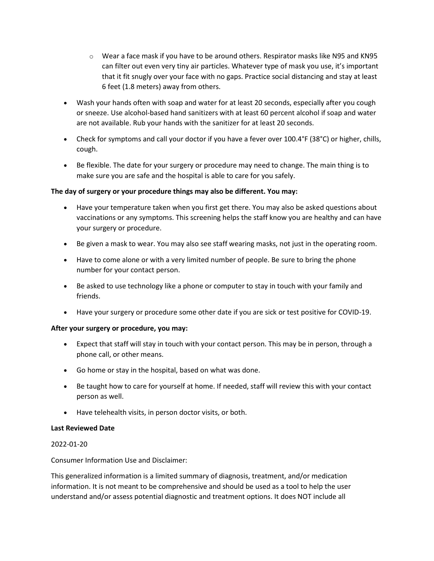- $\circ$  Wear a face mask if you have to be around others. Respirator masks like N95 and KN95 can filter out even very tiny air particles. Whatever type of mask you use, it's important that it fit snugly over your face with no gaps. Practice social distancing and stay at least 6 feet (1.8 meters) away from others.
- Wash your hands often with soap and water for at least 20 seconds, especially after you cough or sneeze. Use alcohol-based hand sanitizers with at least 60 percent alcohol if soap and water are not available. Rub your hands with the sanitizer for at least 20 seconds.
- Check for symptoms and call your doctor if you have a fever over 100.4°F (38°C) or higher, chills, cough.
- Be flexible. The date for your surgery or procedure may need to change. The main thing is to make sure you are safe and the hospital is able to care for you safely.

## **The day of surgery or your procedure things may also be different. You may:**

- Have your temperature taken when you first get there. You may also be asked questions about vaccinations or any symptoms. This screening helps the staff know you are healthy and can have your surgery or procedure.
- Be given a mask to wear. You may also see staff wearing masks, not just in the operating room.
- Have to come alone or with a very limited number of people. Be sure to bring the phone number for your contact person.
- Be asked to use technology like a phone or computer to stay in touch with your family and friends.
- Have your surgery or procedure some other date if you are sick or test positive for COVID-19.

#### **After your surgery or procedure, you may:**

- Expect that staff will stay in touch with your contact person. This may be in person, through a phone call, or other means.
- Go home or stay in the hospital, based on what was done.
- Be taught how to care for yourself at home. If needed, staff will review this with your contact person as well.
- Have telehealth visits, in person doctor visits, or both.

#### **Last Reviewed Date**

## 2022-01-20

Consumer Information Use and Disclaimer:

This generalized information is a limited summary of diagnosis, treatment, and/or medication information. It is not meant to be comprehensive and should be used as a tool to help the user understand and/or assess potential diagnostic and treatment options. It does NOT include all